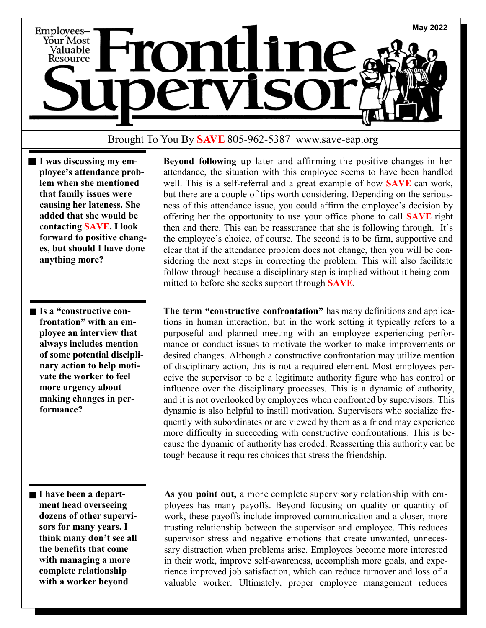

## Brought To You By **SAVE** 805-962-5387 www.save-eap.org

- **I was discussing my employee's attendance problem when she mentioned that family issues were causing her lateness. She added that she would be contacting SAVE. I look forward to positive changes, but should I have done anything more?**
- Is a "constructive con**frontation" with an employee an interview that always includes mention of some potential disciplinary action to help motivate the worker to feel more urgency about making changes in performance?**

 **Beyond following** up later and affirming the positive changes in her attendance, the situation with this employee seems to have been handled well. This is a self-referral and a great example of how **SAVE** can work, but there are a couple of tips worth considering. Depending on the seriousness of this attendance issue, you could affirm the employee's decision by offering her the opportunity to use your office phone to call **SAVE** right then and there. This can be reassurance that she is following through. It's the employee's choice, of course. The second is to be firm, supportive and clear that if the attendance problem does not change, then you will be considering the next steps in correcting the problem. This will also facilitate follow-through because a disciplinary step is implied without it being committed to before she seeks support through **SAVE**.

 **The term "constructive confrontation"** has many definitions and applications in human interaction, but in the work setting it typically refers to a purposeful and planned meeting with an employee experiencing performance or conduct issues to motivate the worker to make improvements or desired changes. Although a constructive confrontation may utilize mention of disciplinary action, this is not a required element. Most employees perceive the supervisor to be a legitimate authority figure who has control or influence over the disciplinary processes. This is a dynamic of authority, and it is not overlooked by employees when confronted by supervisors. This dynamic is also helpful to instill motivation. Supervisors who socialize frequently with subordinates or are viewed by them as a friend may experience more difficulty in succeeding with constructive confrontations. This is because the dynamic of authority has eroded. Reasserting this authority can be tough because it requires choices that stress the friendship.

**I have been a department head overseeing dozens of other supervisors for many years. I think many don't see all the benefits that come with managing a more complete relationship with a worker beyond** 

 **As you point out,** a more complete supervisory relationship with employees has many payoffs. Beyond focusing on quality or quantity of work, these payoffs include improved communication and a closer, more trusting relationship between the supervisor and employee. This reduces supervisor stress and negative emotions that create unwanted, unnecessary distraction when problems arise. Employees become more interested in their work, improve self-awareness, accomplish more goals, and experience improved job satisfaction, which can reduce turnover and loss of a valuable worker. Ultimately, proper employee management reduces